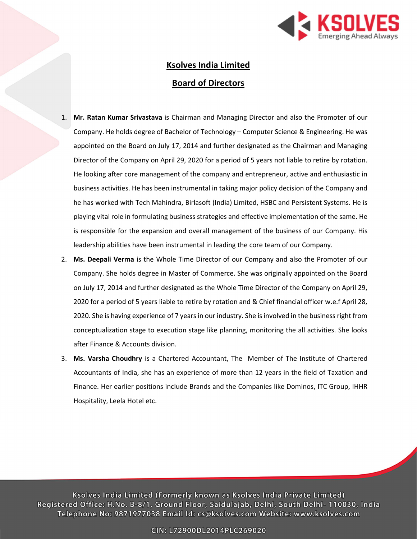

# Ksolves India Limited Board of Directors

- 1. Mr. Ratan Kumar Srivastava is Chairman and Managing Director and also the Promoter of our Company. He holds degree of Bachelor of Technology – Computer Science & Engineering. He was appointed on the Board on July 17, 2014 and further designated as the Chairman and Managing Director of the Company on April 29, 2020 for a period of 5 years not liable to retire by rotation. He looking after core management of the company and entrepreneur, active and enthusiastic in business activities. He has been instrumental in taking major policy decision of the Company and he has worked with Tech Mahindra, Birlasoft (India) Limited, HSBC and Persistent Systems. He is playing vital role in formulating business strategies and effective implementation of the same. He is responsible for the expansion and overall management of the business of our Company. His leadership abilities have been instrumental in leading the core team of our Company.
- 2. Ms. Deepali Verma is the Whole Time Director of our Company and also the Promoter of our Company. She holds degree in Master of Commerce. She was originally appointed on the Board on July 17, 2014 and further designated as the Whole Time Director of the Company on April 29, 2020 for a period of 5 years liable to retire by rotation and & Chief financial officer w.e.f April 28, 2020. She is having experience of 7 years in our industry. She is involved in the business right from conceptualization stage to execution stage like planning, monitoring the all activities. She looks after Finance & Accounts division.
- 3. Ms. Varsha Choudhry is a Chartered Accountant, The Member of The Institute of Chartered Accountants of India, she has an experience of more than 12 years in the field of Taxation and Finance. Her earlier positions include Brands and the Companies like Dominos, ITC Group, IHHR Hospitality, Leela Hotel etc.

Ksolves India Limited (Formerly known as Ksolves India Private Limited) Registered Office: H.No. B-8/1, Ground Floor, Saidulajab, Delhi, South Delhi- 110030, India Telephone No: 9871977038 Email Id: cs@ksolves.com Website: www.ksolves.com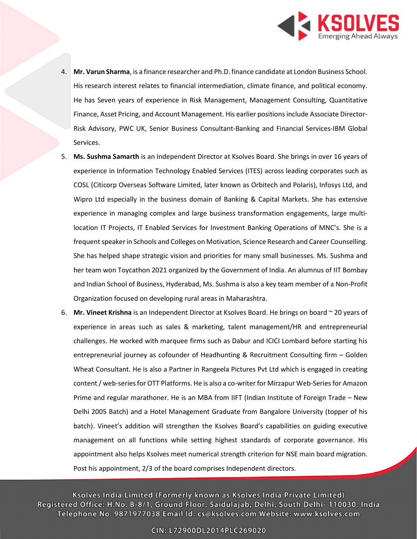

- 4. Mr. Varun Sharma, is a finance researcher and Ph.D. finance candidate at London Business School. His research interest relates to financial intermediation, climate finance, and political economy. He has Seven years of experience in Risk Management, Management Consulting, Quantitative Finance, Asset Pricing, and Account Management. His earlier positions include Associate Director-Risk Advisory, PWC UK, Senior Business Consultant-Banking and Financial Services-IBM Global Services.
- 5. Ms. Sushma Samarth is an Independent Director at Ksolves Board. She brings in over 16 years of experience in Information Technology Enabled Services (ITES) across leading corporates such as COSL (Citicorp Overseas Software Limited, later known as Orbitech and Polaris), Infosys Ltd, and Wipro Ltd especially in the business domain of Banking & Capital Markets. She has extensive experience in managing complex and large business transformation engagements, large multilocation IT Projects, IT Enabled Services for Investment Banking Operations of MNC's. She is a frequent speaker in Schools and Colleges on Motivation, Science Research and Career Counselling. She has helped shape strategic vision and priorities for many small businesses. Ms. Sushma and her team won Toycathon 2021 organized by the Government of India. An alumnus of IIT Bombay and Indian School of Business, Hyderabad, Ms. Sushma is also a key team member of a Non-Profit Organization focused on developing rural areas in Maharashtra.
- 6. Mr. Vineet Krishna is an Independent Director at Ksolves Board. He brings on board  $\sim$  20 years of experience in areas such as sales & marketing, talent management/HR and entrepreneurial challenges. He worked with marquee firms such as Dabur and ICICI Lombard before starting his entrepreneurial journey as cofounder of Headhunting & Recruitment Consulting firm – Golden Wheat Consultant. He is also a Partner in Rangeela Pictures Pvt Ltd which is engaged in creating content / web-series for OTT Platforms. He is also a co-writer for Mirzapur Web-Series for Amazon Prime and regular marathoner. He is an MBA from IIFT (Indian Institute of Foreign Trade – New Delhi 2005 Batch) and a Hotel Management Graduate from Bangalore University (topper of his batch). Vineet's addition will strengthen the Ksolves Board's capabilities on guiding executive management on all functions while setting highest standards of corporate governance. His appointment also helps Ksolves meet numerical strength criterion for NSE main board migration. Post his appointment, 2/3 of the board comprises Independent directors.

Ksolves India Limited (Formerly known as Ksolves India Private Limited) Registered Office: H.No. B-8/1, Ground Floor, Saidulajab, Delhi, South Delhi- 110030, India Telephone No: 9871977038 Email Id: cs@ksolves.com Website: www.ksolves.com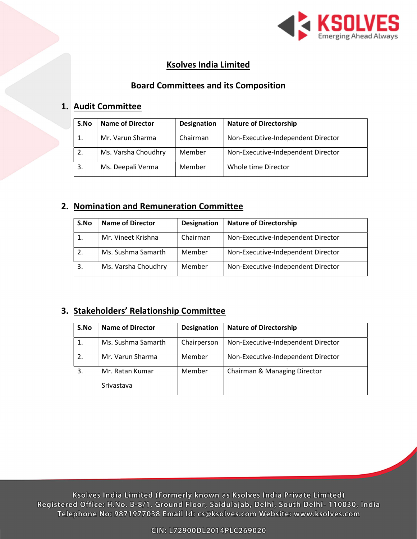

# Ksolves India Limited

## Board Committees and its Composition

#### 1. Audit Committee

| S.No | <b>Name of Director</b> | <b>Designation</b> | <b>Nature of Directorship</b>      |
|------|-------------------------|--------------------|------------------------------------|
|      | Mr. Varun Sharma        | Chairman           | Non-Executive-Independent Director |
| 2.   | Ms. Varsha Choudhry     | Member             | Non-Executive-Independent Director |
| 3.   | Ms. Deepali Verma       | Member             | Whole time Director                |

## 2. Nomination and Remuneration Committee

| S.No | <b>Name of Director</b> | <b>Designation</b> | <b>Nature of Directorship</b>      |
|------|-------------------------|--------------------|------------------------------------|
|      | Mr. Vineet Krishna      | Chairman           | Non-Executive-Independent Director |
| 2.   | Ms. Sushma Samarth      | Member             | Non-Executive-Independent Director |
| 3.   | Ms. Varsha Choudhry     | Member             | Non-Executive-Independent Director |

## 3. Stakeholders' Relationship Committee

| S.No | <b>Name of Director</b>       | <b>Designation</b> | <b>Nature of Directorship</b>      |
|------|-------------------------------|--------------------|------------------------------------|
| 1.   | Ms. Sushma Samarth            | Chairperson        | Non-Executive-Independent Director |
| 2.   | Mr. Varun Sharma              | Member             | Non-Executive-Independent Director |
| 3.   | Mr. Ratan Kumar<br>Srivastava | Member             | Chairman & Managing Director       |
|      |                               |                    |                                    |

Ksolves India Limited (Formerly known as Ksolves India Private Limited) Registered Office: H.No. B-8/1, Ground Floor, Saidulajab, Delhi, South Delhi- 110030, India Telephone No: 9871977038 Email Id: cs@ksolves.com Website: www.ksolves.com